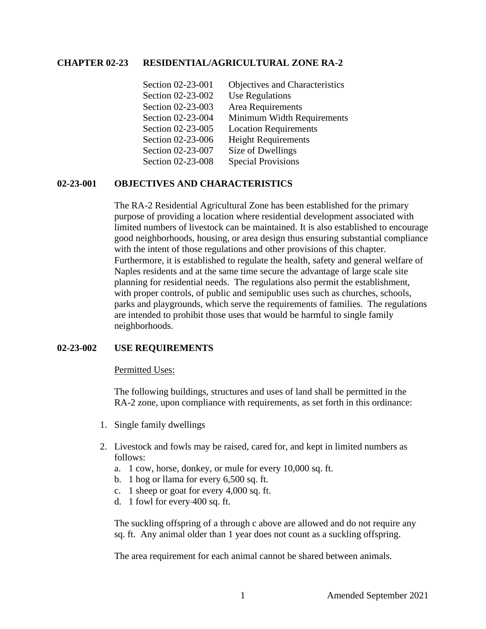## **CHAPTER 02-23 RESIDENTIAL/AGRICULTURAL ZONE RA-2**

| Section 02-23-001 | Objectives and Characteristics |
|-------------------|--------------------------------|
| Section 02-23-002 | <b>Use Regulations</b>         |
| Section 02-23-003 | Area Requirements              |
| Section 02-23-004 | Minimum Width Requirements     |
| Section 02-23-005 | <b>Location Requirements</b>   |
| Section 02-23-006 | <b>Height Requirements</b>     |
| Section 02-23-007 | Size of Dwellings              |
| Section 02-23-008 | <b>Special Provisions</b>      |

# **02-23-001 OBJECTIVES AND CHARACTERISTICS**

The RA-2 Residential Agricultural Zone has been established for the primary purpose of providing a location where residential development associated with limited numbers of livestock can be maintained. It is also established to encourage good neighborhoods, housing, or area design thus ensuring substantial compliance with the intent of those regulations and other provisions of this chapter. Furthermore, it is established to regulate the health, safety and general welfare of Naples residents and at the same time secure the advantage of large scale site planning for residential needs. The regulations also permit the establishment, with proper controls, of public and semipublic uses such as churches, schools, parks and playgrounds, which serve the requirements of families. The regulations are intended to prohibit those uses that would be harmful to single family neighborhoods.

### **02-23-002 USE REQUIREMENTS**

### Permitted Uses:

The following buildings, structures and uses of land shall be permitted in the RA-2 zone, upon compliance with requirements, as set forth in this ordinance:

- 1. Single family dwellings
- 2. Livestock and fowls may be raised, cared for, and kept in limited numbers as follows:
	- a. 1 cow, horse, donkey, or mule for every 10,000 sq. ft.
	- b. 1 hog or llama for every 6,500 sq. ft.
	- c. 1 sheep or goat for every 4,000 sq. ft.
	- d. 1 fowl for every 400 sq. ft.

The suckling offspring of a through c above are allowed and do not require any sq. ft. Any animal older than 1 year does not count as a suckling offspring.

The area requirement for each animal cannot be shared between animals.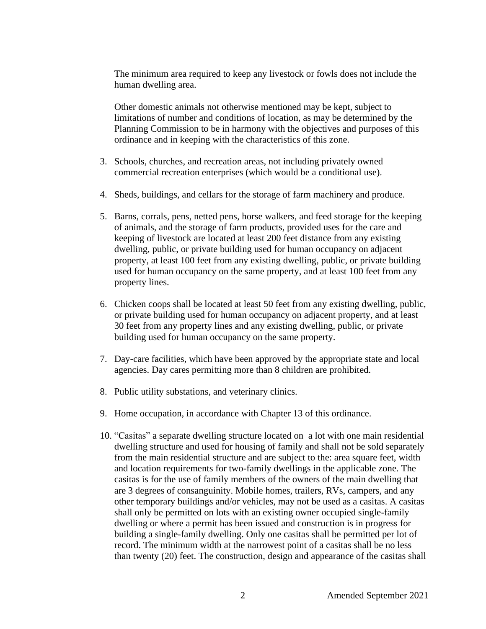The minimum area required to keep any livestock or fowls does not include the human dwelling area.

Other domestic animals not otherwise mentioned may be kept, subject to limitations of number and conditions of location, as may be determined by the Planning Commission to be in harmony with the objectives and purposes of this ordinance and in keeping with the characteristics of this zone.

- 3. Schools, churches, and recreation areas, not including privately owned commercial recreation enterprises (which would be a conditional use).
- 4. Sheds, buildings, and cellars for the storage of farm machinery and produce.
- 5. Barns, corrals, pens, netted pens, horse walkers, and feed storage for the keeping of animals, and the storage of farm products, provided uses for the care and keeping of livestock are located at least 200 feet distance from any existing dwelling, public, or private building used for human occupancy on adjacent property, at least 100 feet from any existing dwelling, public, or private building used for human occupancy on the same property, and at least 100 feet from any property lines.
- 6. Chicken coops shall be located at least 50 feet from any existing dwelling, public, or private building used for human occupancy on adjacent property, and at least 30 feet from any property lines and any existing dwelling, public, or private building used for human occupancy on the same property.
- 7. Day-care facilities, which have been approved by the appropriate state and local agencies. Day cares permitting more than 8 children are prohibited.
- 8. Public utility substations, and veterinary clinics.
- 9. Home occupation, in accordance with Chapter 13 of this ordinance.
- 10. "Casitas" a separate dwelling structure located on a lot with one main residential dwelling structure and used for housing of family and shall not be sold separately from the main residential structure and are subject to the: area square feet, width and location requirements for two-family dwellings in the applicable zone. The casitas is for the use of family members of the owners of the main dwelling that are 3 degrees of consanguinity. Mobile homes, trailers, RVs, campers, and any other temporary buildings and/or vehicles, may not be used as a casitas. A casitas shall only be permitted on lots with an existing owner occupied single-family dwelling or where a permit has been issued and construction is in progress for building a single-family dwelling. Only one casitas shall be permitted per lot of record. The minimum width at the narrowest point of a casitas shall be no less than twenty (20) feet. The construction, design and appearance of the casitas shall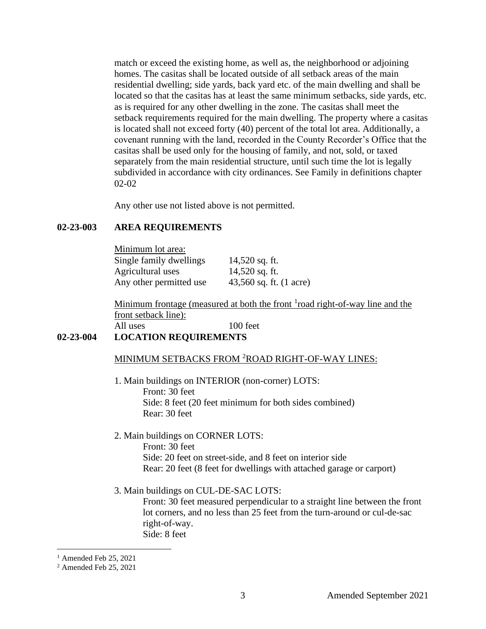match or exceed the existing home, as well as, the neighborhood or adjoining homes. The casitas shall be located outside of all setback areas of the main residential dwelling; side yards, back yard etc. of the main dwelling and shall be located so that the casitas has at least the same minimum setbacks, side yards, etc. as is required for any other dwelling in the zone. The casitas shall meet the setback requirements required for the main dwelling. The property where a casitas is located shall not exceed forty (40) percent of the total lot area. Additionally, a covenant running with the land, recorded in the County Recorder's Office that the casitas shall be used only for the housing of family, and not, sold, or taxed separately from the main residential structure, until such time the lot is legally subdivided in accordance with city ordinances. See Family in definitions chapter 02-02

Any other use not listed above is not permitted.

# **02-23-003 AREA REQUIREMENTS**

Minimum lot area: Single family dwellings 14,520 sq. ft. Agricultural uses 14,520 sq. ft.

Any other permitted use 43,560 sq. ft. (1 acre)

Minimum frontage (measured at both the front <sup>1</sup>road right-of-way line and the front setback line):

# All uses 100 feet **02-23-004 LOCATION REQUIREMENTS**

## MINIMUM SETBACKS FROM <sup>2</sup>ROAD RIGHT-OF-WAY LINES:

- 1. Main buildings on INTERIOR (non-corner) LOTS: Front: 30 feet Side: 8 feet (20 feet minimum for both sides combined) Rear: 30 feet
- 2. Main buildings on CORNER LOTS: Front: 30 feet Side: 20 feet on street-side, and 8 feet on interior side Rear: 20 feet (8 feet for dwellings with attached garage or carport)
- 3. Main buildings on CUL-DE-SAC LOTS:

Front: 30 feet measured perpendicular to a straight line between the front lot corners, and no less than 25 feet from the turn-around or cul-de-sac right-of-way. Side: 8 feet

 $<sup>1</sup>$  Amended Feb 25, 2021</sup>

<sup>2</sup> Amended Feb 25, 2021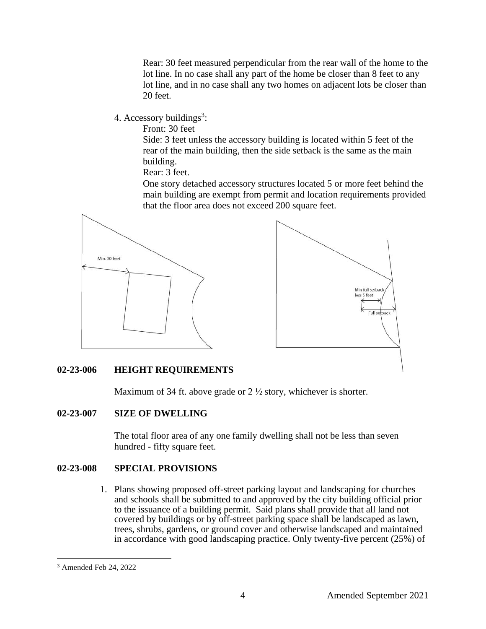Rear: 30 feet measured perpendicular from the rear wall of the home to the lot line. In no case shall any part of the home be closer than 8 feet to any lot line, and in no case shall any two homes on adjacent lots be closer than 20 feet.

4. Accessory buildings<sup>3</sup>:

Front: 30 feet

Side: 3 feet unless the accessory building is located within 5 feet of the rear of the main building, then the side setback is the same as the main building.

Rear: 3 feet.

One story detached accessory structures located 5 or more feet behind the main building are exempt from permit and location requirements provided that the floor area does not exceed 200 square feet.





### **02-23-006 HEIGHT REQUIREMENTS**

Maximum of 34 ft. above grade or 2  $\frac{1}{2}$  story, whichever is shorter.

### **02-23-007 SIZE OF DWELLING**

The total floor area of any one family dwelling shall not be less than seven hundred - fifty square feet.

## **02-23-008 SPECIAL PROVISIONS**

1. Plans showing proposed off-street parking layout and landscaping for churches and schools shall be submitted to and approved by the city building official prior to the issuance of a building permit. Said plans shall provide that all land not covered by buildings or by off-street parking space shall be landscaped as lawn, trees, shrubs, gardens, or ground cover and otherwise landscaped and maintained in accordance with good landscaping practice. Only twenty-five percent (25%) of

<sup>3</sup> Amended Feb 24, 2022